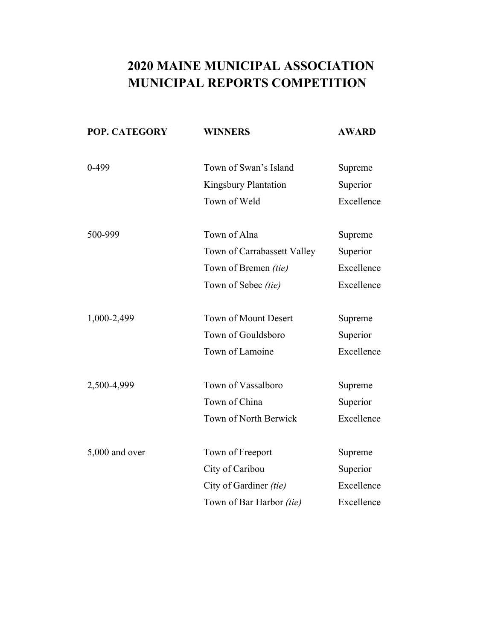| POP. CATEGORY  | <b>WINNERS</b>              | <b>AWARD</b> |
|----------------|-----------------------------|--------------|
| $0-499$        | Town of Swan's Island       | Supreme      |
|                | Kingsbury Plantation        | Superior     |
|                | Town of Weld                | Excellence   |
| 500-999        | Town of Alna                | Supreme      |
|                | Town of Carrabassett Valley | Superior     |
|                | Town of Bremen (tie)        | Excellence   |
|                | Town of Sebec (tie)         | Excellence   |
| 1,000-2,499    | Town of Mount Desert        | Supreme      |
|                | Town of Gouldsboro          | Superior     |
|                | Town of Lamoine             | Excellence   |
| 2,500-4,999    | Town of Vassalboro          | Supreme      |
|                | Town of China               | Superior     |
|                | Town of North Berwick       | Excellence   |
| 5,000 and over | Town of Freeport            | Supreme      |
|                | City of Caribou             | Superior     |
|                | City of Gardiner (tie)      | Excellence   |
|                | Town of Bar Harbor (tie)    | Excellence   |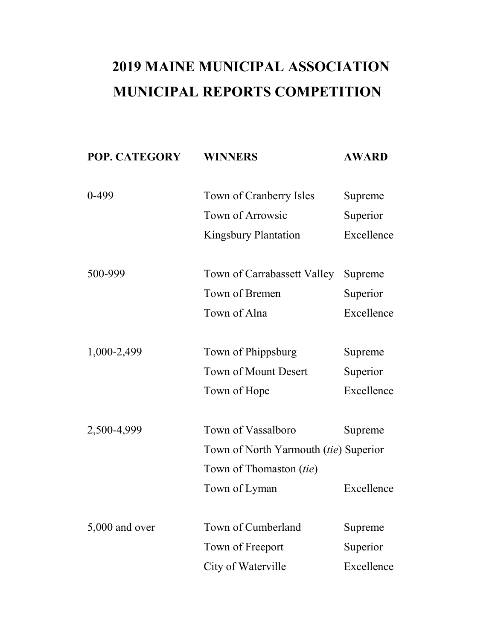| POP. CATEGORY    | <b>WINNERS</b>                               | <b>AWARD</b> |
|------------------|----------------------------------------------|--------------|
|                  |                                              |              |
| $0-499$          | Town of Cranberry Isles                      | Supreme      |
|                  | Town of Arrowsic                             | Superior     |
|                  | <b>Kingsbury Plantation</b>                  | Excellence   |
|                  |                                              |              |
| 500-999          | Town of Carrabassett Valley                  | Supreme      |
|                  | Town of Bremen                               | Superior     |
|                  | Town of Alna                                 | Excellence   |
|                  |                                              |              |
| 1,000-2,499      | Town of Phippsburg                           | Supreme      |
|                  | <b>Town of Mount Desert</b>                  | Superior     |
|                  | Town of Hope                                 | Excellence   |
|                  |                                              |              |
| 2,500-4,999      | Town of Vassalboro                           | Supreme      |
|                  | Town of North Yarmouth <i>(tie)</i> Superior |              |
|                  | Town of Thomaston (tie)                      |              |
|                  | Town of Lyman                                | Excellence   |
|                  |                                              |              |
| $5,000$ and over | Town of Cumberland                           | Supreme      |
|                  | Town of Freeport                             | Superior     |
|                  | City of Waterville                           | Excellence   |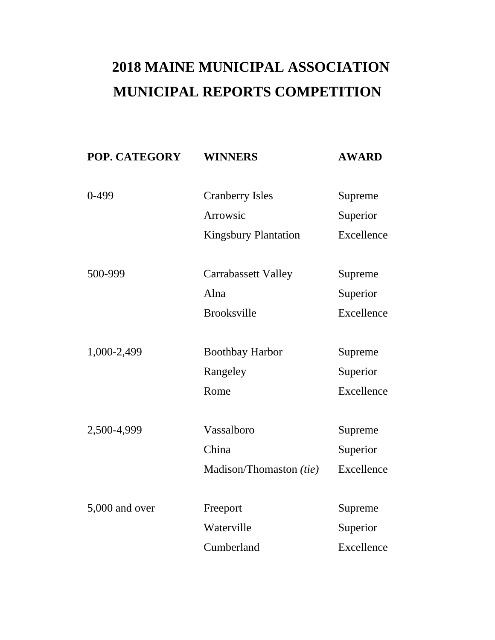| POP. CATEGORY  | <b>WINNERS</b>              | <b>AWARD</b> |
|----------------|-----------------------------|--------------|
| $0 - 499$      | <b>Cranberry Isles</b>      | Supreme      |
|                | Arrowsic                    | Superior     |
|                | <b>Kingsbury Plantation</b> | Excellence   |
| 500-999        | <b>Carrabassett Valley</b>  | Supreme      |
|                | Alna                        | Superior     |
|                | <b>Brooksville</b>          | Excellence   |
| 1,000-2,499    | <b>Boothbay Harbor</b>      | Supreme      |
|                | Rangeley                    | Superior     |
|                | Rome                        | Excellence   |
| 2,500-4,999    | Vassalboro                  | Supreme      |
|                | China                       | Superior     |
|                | Madison/Thomaston (tie)     | Excellence   |
|                |                             |              |
| 5,000 and over | Freeport                    | Supreme      |
|                | Waterville                  | Superior     |
|                | Cumberland                  | Excellence   |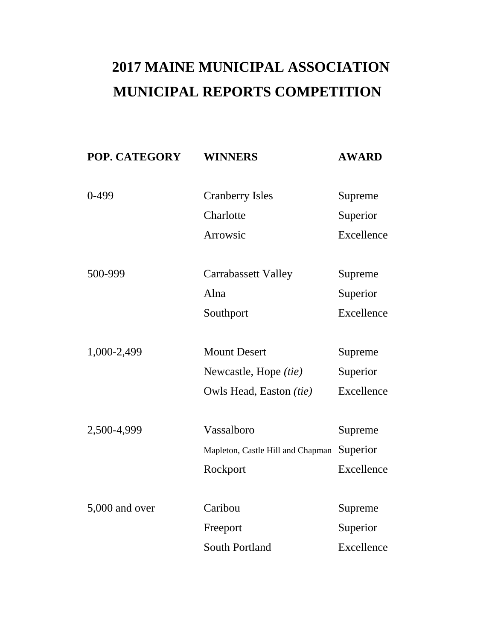| POP. CATEGORY  | <b>WINNERS</b>                    | <b>AWARD</b> |
|----------------|-----------------------------------|--------------|
| $0-499$        | <b>Cranberry Isles</b>            | Supreme      |
|                | Charlotte                         | Superior     |
|                | Arrowsic                          | Excellence   |
|                |                                   |              |
| 500-999        | <b>Carrabassett Valley</b>        | Supreme      |
|                | Alna                              | Superior     |
|                | Southport                         | Excellence   |
|                |                                   |              |
| 1,000-2,499    | <b>Mount Desert</b>               | Supreme      |
|                | Newcastle, Hope (tie)             | Superior     |
|                | Owls Head, Easton (tie)           | Excellence   |
|                |                                   |              |
| 2,500-4,999    | Vassalboro                        | Supreme      |
|                | Mapleton, Castle Hill and Chapman | Superior     |
|                | Rockport                          | Excellence   |
|                |                                   |              |
| 5,000 and over | Caribou                           | Supreme      |
|                | Freeport                          | Superior     |
|                | <b>South Portland</b>             | Excellence   |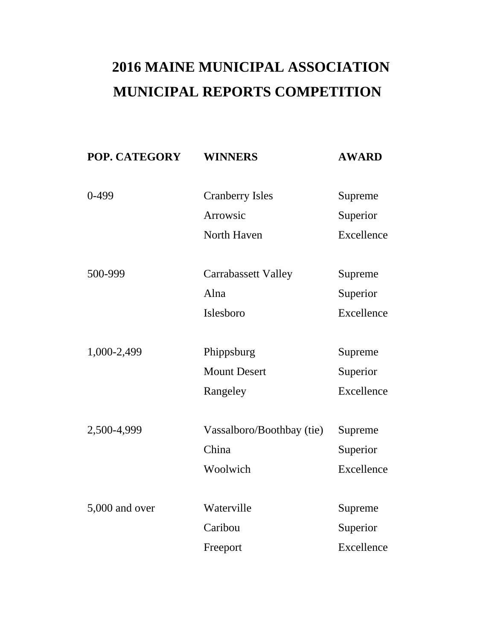| POP. CATEGORY  | <b>WINNERS</b>                    | <b>AWARD</b>           |
|----------------|-----------------------------------|------------------------|
| $0 - 499$      | <b>Cranberry Isles</b>            | Supreme                |
|                | Arrowsic                          | Superior               |
|                | North Haven                       | Excellence             |
| 500-999        | <b>Carrabassett Valley</b>        | Supreme                |
|                | Alna                              | Superior               |
|                | Islesboro                         | Excellence             |
| 1,000-2,499    |                                   |                        |
|                | Phippsburg<br><b>Mount Desert</b> | Supreme                |
|                | Rangeley                          | Superior<br>Excellence |
| 2,500-4,999    | Vassalboro/Boothbay (tie)         | Supreme                |
|                | China                             | Superior               |
|                | Woolwich                          | Excellence             |
|                |                                   |                        |
| 5,000 and over | Waterville                        | Supreme                |
|                | Caribou                           | Superior               |
|                | Freeport                          | Excellence             |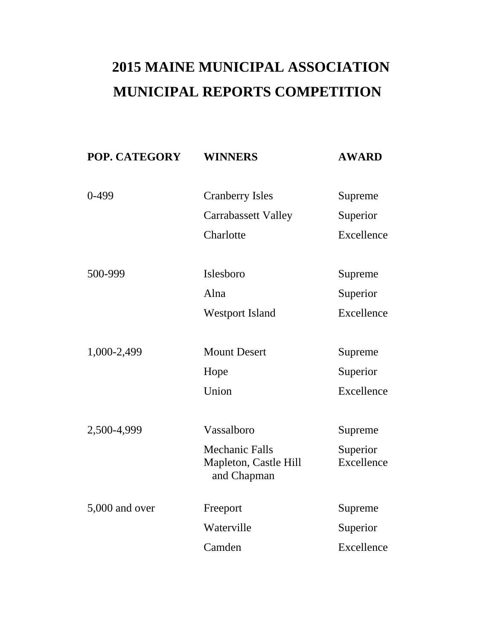| POP. CATEGORY  | <b>WINNERS</b>                                                | <b>AWARD</b>           |
|----------------|---------------------------------------------------------------|------------------------|
| $0-499$        | <b>Cranberry Isles</b>                                        | Supreme                |
|                | <b>Carrabassett Valley</b>                                    | Superior               |
|                | Charlotte                                                     | Excellence             |
|                |                                                               |                        |
| 500-999        | Islesboro                                                     | Supreme                |
|                | Alna                                                          | Superior               |
|                | <b>Westport Island</b>                                        | Excellence             |
|                |                                                               |                        |
| 1,000-2,499    | <b>Mount Desert</b>                                           | Supreme                |
|                | Hope                                                          | Superior               |
|                | Union                                                         | Excellence             |
|                |                                                               |                        |
| 2,500-4,999    | Vassalboro                                                    | Supreme                |
|                | <b>Mechanic Falls</b><br>Mapleton, Castle Hill<br>and Chapman | Superior<br>Excellence |
| 5,000 and over | Freeport                                                      | Supreme                |
|                | Waterville                                                    | Superior               |
|                | Camden                                                        | Excellence             |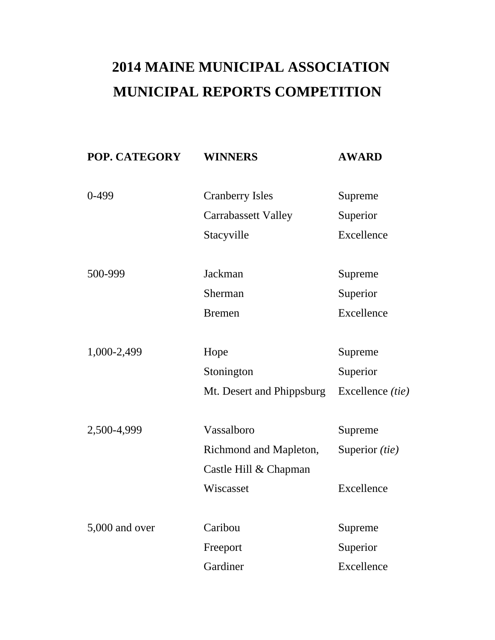| POP. CATEGORY  | <b>WINNERS</b>             | <b>AWARD</b>            |
|----------------|----------------------------|-------------------------|
| $0-499$        | <b>Cranberry Isles</b>     | Supreme                 |
|                | <b>Carrabassett Valley</b> | Superior                |
|                | Stacyville                 | Excellence              |
|                |                            |                         |
| 500-999        | Jackman                    | Supreme                 |
|                | Sherman                    | Superior                |
|                | <b>Bremen</b>              | Excellence              |
|                |                            |                         |
| 1,000-2,499    | Hope                       | Supreme                 |
|                | Stonington                 | Superior                |
|                | Mt. Desert and Phippsburg  | Excellence <i>(tie)</i> |
| 2,500-4,999    | Vassalboro                 | Supreme                 |
|                | Richmond and Mapleton,     | Superior (tie)          |
|                | Castle Hill & Chapman      |                         |
|                | Wiscasset                  | Excellence              |
|                |                            |                         |
| 5,000 and over | Caribou                    | Supreme                 |
|                | Freeport                   | Superior                |
|                | Gardiner                   | Excellence              |